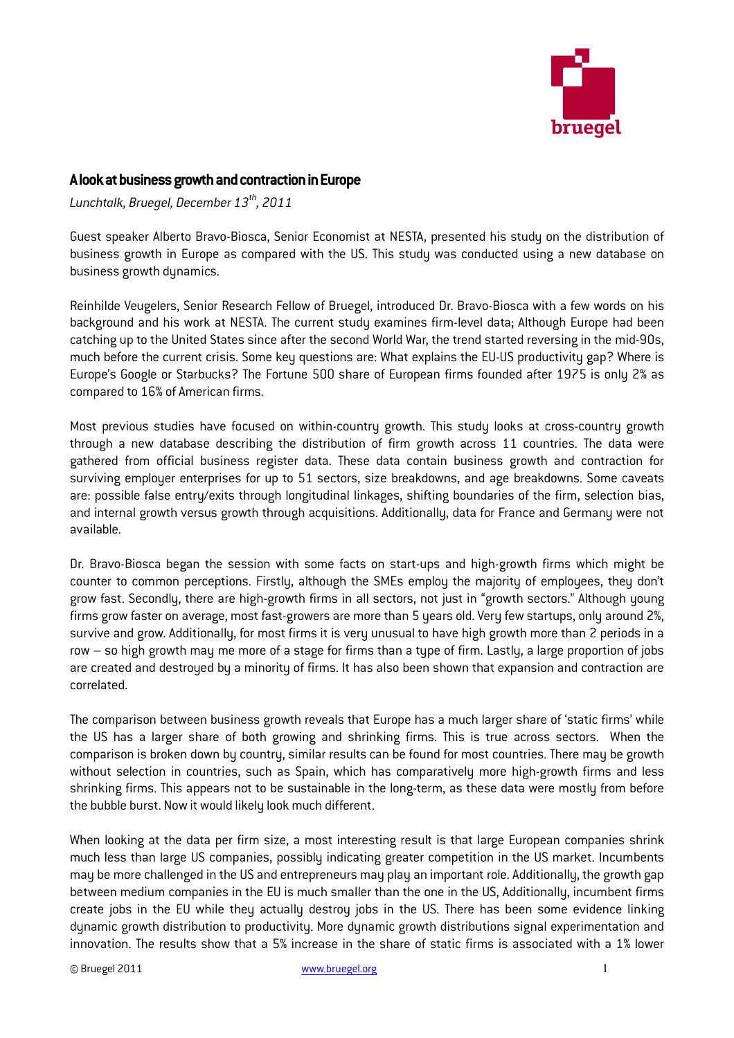

## A look at business growth and contraction in Europe

Lunchtalk, Bruegel, December  $13^{th}$ , 2011

Guest speaker Alberto Bravo-Biosca, Senior Economist at NESTA, presented his study on the distribution of business growth in Europe as compared with the US. This study was conducted using a new database on business growth dynamics.

Reinhilde Veugelers, Senior Research Fellow of Bruegel, introduced Dr. Bravo-Biosca with a few words on his background and his work at NESTA. The current study examines firm-level data; Although Europe had been catching up to the United States since after the second World War, the trend started reversing in the mid-90s, much before the current crisis. Some key questions are: What explains the EU-US productivity gap? Where is Europe's Google or Starbucks? The Fortune 500 share of European firms founded after 1975 is only 2% as compared to 16% of American firms.

Most previous studies have focused on within-country growth. This study looks at cross-country growth through a new database describing the distribution of firm growth across 11 countries. The data were gathered from official business register data. These data contain business growth and contraction for surviving employer enterprises for up to 51 sectors, size breakdowns, and age breakdowns. Some caveats are: possible false entry/exits through longitudinal linkages, shifting boundaries of the firm, selection bias, and internal growth versus growth through acquisitions. Additionally, data for France and Germany were not available.

Dr. Bravo-Biosca began the session with some facts on start-ups and high-growth firms which might be counter to common perceptions. Firstly, although the SMEs employ the majority of employees, they don't grow fast. Secondly, there are high-growth firms in all sectors, not just in "growth sectors." Although young firms grow faster on average, most fast-growers are more than 5 years old. Very few startups, only around 2%, survive and grow. Additionally, for most firms it is very unusual to have high growth more than 2 periods in a row – so high growth may me more of a stage for firms than a type of firm. Lastly, a large proportion of jobs are created and destroyed by a minority of firms. It has also been shown that expansion and contraction are correlated.

The comparison between business growth reveals that Europe has a much larger share of 'static firms' while the US has a larger share of both growing and shrinking firms. This is true across sectors. When the comparison is broken down by country, similar results can be found for most countries. There may be growth without selection in countries, such as Spain, which has comparatively more high-growth firms and less shrinking firms. This appears not to be sustainable in the long-term, as these data were mostly from before the bubble burst. Now it would likely look much different.

When looking at the data per firm size, a most interesting result is that large European companies shrink much less than large US companies, possibly indicating greater competition in the US market. Incumbents may be more challenged in the US and entrepreneurs may play an important role. Additionally, the growth gap between medium companies in the EU is much smaller than the one in the US, Additionally, incumbent firms create jobs in the EU while they actually destroy jobs in the US. There has been some evidence linking dynamic growth distribution to productivity. More dynamic growth distributions signal experimentation and innovation. The results show that a 5% increase in the share of static firms is associated with a 1% lower